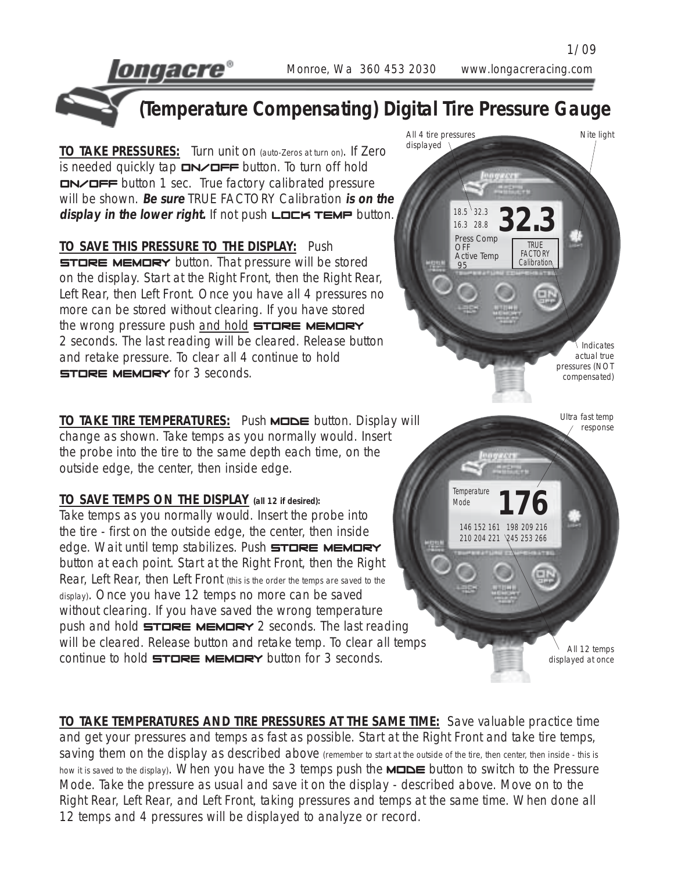ongaere®

1/09

18.5 32.3<br>16.3 28.8 **32.3** 

**TRUE FACTORY Calibration** 

16.3 28.8 Press Comp OFF Active Temp 95

All 4 tire pressures displayed \

**176**

Ultra fast temp response

Indicates actual true pressures (NOT compensated)

Nite light

All 12 temps displayed at once

146 152 161 198 209 216 210 204 221 245 253 266

**Temperature** Mode



**(Temperature Compensating) Digital Tire Pressure Gauge**

**TO TAKE PRESSURES:** Turn unit on (auto-Zeros at turn on). If Zero is needed quickly tap  $\square N \square F \square$  button. To turn off hold On/Off button 1 sec. True factory calibrated pressure will be shown. **Be sure** TRUE FACTORY Calibration **is on the** display in the lower right. If not push **LOCK TEMP** button.

**TO SAVE THIS PRESSURE TO THE DISPLAY:** Push **STORE MEMORY** button. That pressure will be stored on the display. Start at the Right Front, then the Right Rear, Left Rear, then Left Front. Once you have all 4 pressures no more can be stored without clearing. If you have stored the wrong pressure push and hold STORE MEMORY 2 seconds. The last reading will be cleared. Release button and retake pressure. To clear all 4 continue to hold **STORE MEMORY** for 3 seconds.

**TO TAKE TIRE TEMPERATURES:** Push **MODE** button. Display will change as shown. Take temps as you normally would. Insert the probe into the tire to the same depth each time, on the outside edge, the center, then inside edge.

**TO SAVE TEMPS ON THE DISPLAY (all 12 if desired):** Take temps as you normally would. Insert the probe into the tire - first on the outside edge, the center, then inside edge. Wait until temp stabilizes. Push STORE MEMORY button at each point. Start at the Right Front, then the Right Rear, Left Rear, then Left Front (this is the order the temps are saved to the display). Once you have 12 temps no more can be saved without clearing. If you have saved the wrong temperature push and hold  $\exists$ TORE MEMORY 2 seconds. The last reading will be cleared. Release button and retake temp. To clear all temps continue to hold  $\exists$ TORE MEMORY button for 3 seconds.

12 temps and 4 pressures will be displayed to analyze or record.

**TO TAKE TEMPERATURES AND TIRE PRESSURES AT THE SAME TIME:** Save valuable practice time and get your pressures and temps as fast as possible. Start at the Right Front and take tire temps, saving them on the display as described above (remember to start at the outside of the tire, then center, then inside - this is how it is saved to the display). When you have the 3 temps push the  $M \Box \Box E$  button to switch to the Pressure Mode. Take the pressure as usual and save it on the display - described above. Move on to the Right Rear, Left Rear, and Left Front, taking pressures and temps at the same time. When done all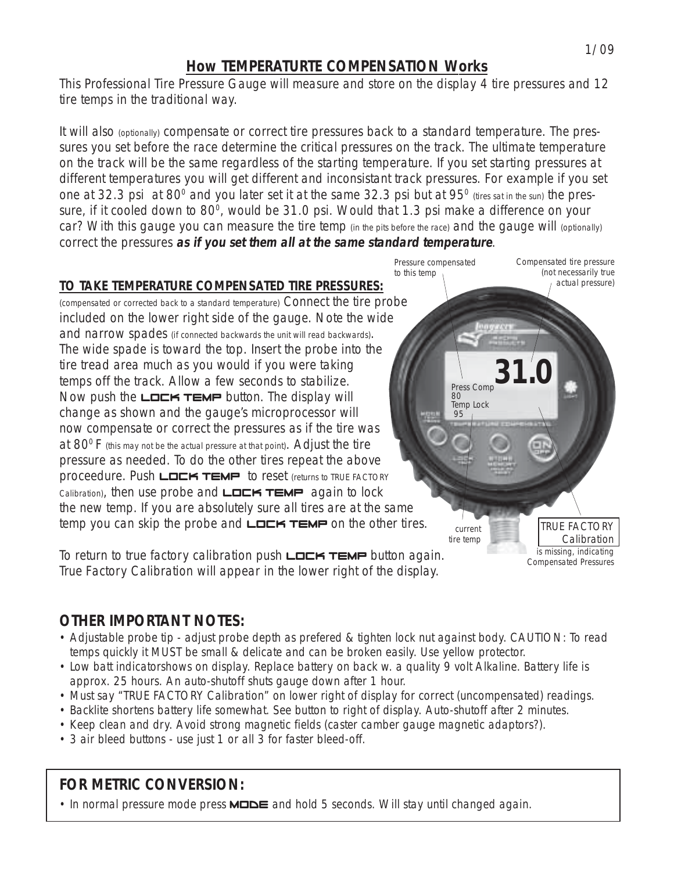#### **How TEMPERATURTE COMPENSATION Works**

This Professional Tire Pressure Gauge will measure and store on the display 4 tire pressures and 12 tire temps in the traditional way.

It will also (optionally) compensate or correct tire pressures back to a standard temperature. The pressures you set before the race determine the critical pressures on the track. The ultimate temperature on the track will be the same regardless of the starting temperature. If you set starting pressures at different temperatures you will get different and inconsistant track pressures. For example if you set one at 32.3 psi at 80 $^{\circ}$  and you later set it at the same 32.3 psi but at 95 $^{\circ}$  (tires sat in the sun) the pressure, if it cooled down to 80 $^{\circ}$ , would be 31.0 psi. Would that 1.3 psi make a difference on your car? With this gauge you can measure the tire temp (in the pits before the race) and the gauge will (optionally) correct the pressures **as if you set them all at the same standard temperature**.

Press Comp

current tire temp

80 Temp Lock 95

Pressure compensated

to this temp

**31.0**

Compensated tire pressure (not necessarily true actual pressure)

> TRUE FACTORY Calibration is missing, indicating Compensated Pressures

#### **TO TAKE TEMPERATURE COMPENSATED TIRE PRESSURES:**

(compensated or corrected back to a standard temperature) Connect the tire probe included on the lower right side of the gauge. Note the wide and narrow spades (if connected backwards the unit will read backwards). The wide spade is toward the top. Insert the probe into the tire tread area much as you would if you were taking temps off the track. Allow a few seconds to stabilize. Now push the  $L$  $D$  $K$   $T$  $EM$  $P$  button. The display will change as shown and the gauge's microprocessor will now compensate or correct the pressures as if the tire was at  $80^{\circ}$  F (this may not be the actual pressure at that point). Adjust the tire pressure as needed. To do the other tires repeat the above proceedure. Push  $L$  $L$  $K$   $TEMP$  to reset (returns to TRUE FACTORY  $Calibration$ , then use probe and  $L$  $L$  $K$   $TEMP$  again to lock the new temp. If you are absolutely sure all tires are at the same temp you can skip the probe and  $L$  $L$  $K$   $TEMP$  on the other tires.

To return to true factory calibration push  $L$  $L$  $K$   $TEMP$  button again. True Factory Calibration will appear in the lower right of the display.

## **OTHER IMPORTANT NOTES:**

- Adjustable probe tip adjust probe depth as prefered & tighten lock nut against body. CAUTION: To read temps quickly it MUST be small & delicate and can be broken easily. Use yellow protector.
- Low batt indicatorshows on display. Replace battery on back w. a quality 9 volt Alkaline. Battery life is approx. 25 hours. An auto-shutoff shuts gauge down after 1 hour.
- Must say "TRUE FACTORY Calibration" on lower right of display for correct (uncompensated) readings.
- Backlite shortens battery life somewhat. See button to right of display. Auto-shutoff after 2 minutes.
- Keep clean and dry. Avoid strong magnetic fields (caster camber gauge magnetic adaptors?).
- 3 air bleed buttons use just 1 or all 3 for faster bleed-off.

## **FOR METRIC CONVERSION:**

• In normal pressure mode press  $M \square \square \square$  and hold 5 seconds. Will stay until changed again.